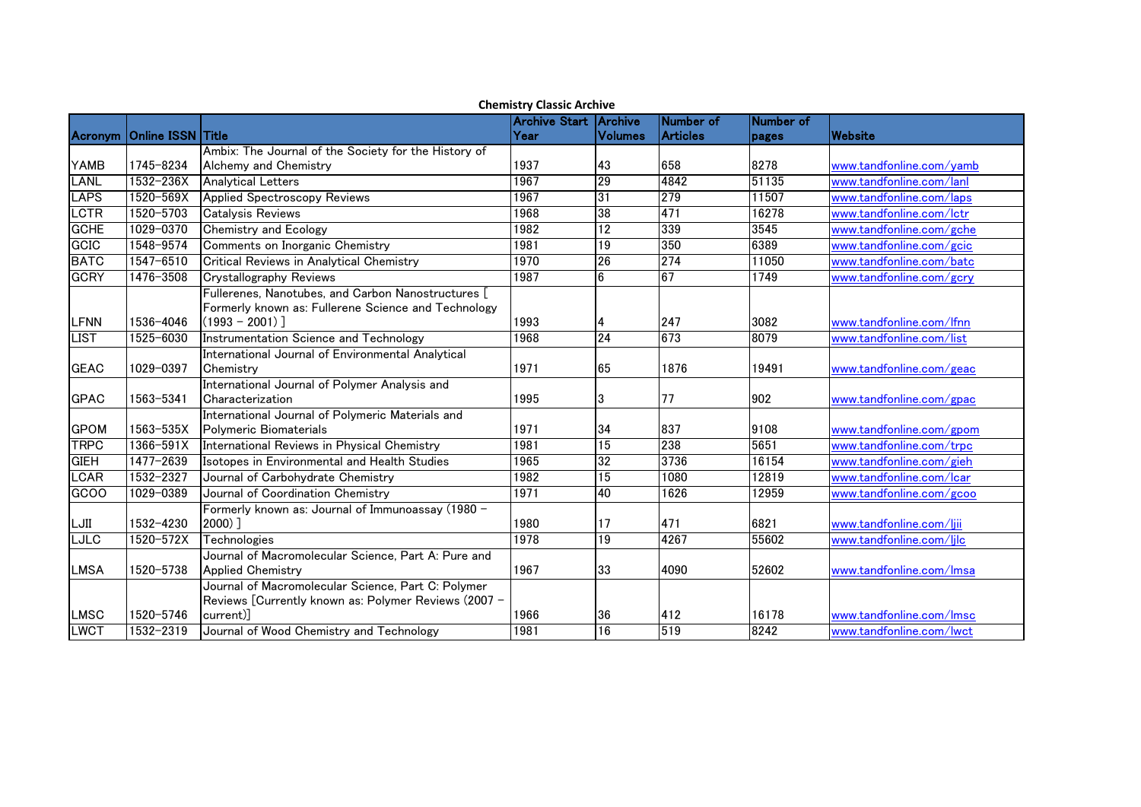|             | <b>Chemistry Classic Archive</b> |                                                                                                           |                      |                 |                 |           |                          |  |  |
|-------------|----------------------------------|-----------------------------------------------------------------------------------------------------------|----------------------|-----------------|-----------------|-----------|--------------------------|--|--|
|             |                                  |                                                                                                           | <b>Archive Start</b> | <b>IArchive</b> | Number of       | Number of |                          |  |  |
| Acronym     | Online ISSN Title                |                                                                                                           | Year                 | Volumes         | <b>Articles</b> | pages     | Website                  |  |  |
|             |                                  | Ambix: The Journal of the Society for the History of                                                      |                      |                 |                 |           |                          |  |  |
| <b>YAMB</b> | 1745-8234                        | Alchemy and Chemistry                                                                                     | 1937                 | 43              | 658             | 8278      | www.tandfonline.com/yamb |  |  |
| <b>LANL</b> | 1532-236X                        | <b>Analytical Letters</b>                                                                                 | 1967                 | 29              | 4842            | 51135     | www.tandfonline.com/lanl |  |  |
| <b>LAPS</b> | 1520-569X                        | <b>Applied Spectroscopy Reviews</b>                                                                       | 1967                 | 31              | 279             | 11507     | www.tandfonline.com/laps |  |  |
| LCTR        | 1520-5703                        | <b>Catalysis Reviews</b>                                                                                  | 1968                 | 38              | 471             | 16278     | www.tandfonline.com/lctr |  |  |
| <b>GCHE</b> | 1029-0370                        | <b>Chemistry and Ecology</b>                                                                              | 1982                 | 12              | 339             | 3545      | www.tandfonline.com/gche |  |  |
| GCIC        | 1548-9574                        | Comments on Inorganic Chemistry                                                                           | 1981                 | 19              | 350             | 6389      | www.tandfonline.com/gcic |  |  |
| <b>BATC</b> | 1547-6510                        | Critical Reviews in Analytical Chemistry                                                                  | 1970                 | $\overline{26}$ | 274             | 11050     | www.tandfonline.com/batc |  |  |
| <b>GCRY</b> | 1476-3508                        | <b>Crystallography Reviews</b>                                                                            | 1987                 | $6\overline{6}$ | 67              | 1749      | www.tandfonline.com/gcry |  |  |
|             |                                  | Fullerenes, Nanotubes, and Carbon Nanostructures [<br>Formerly known as: Fullerene Science and Technology |                      |                 |                 |           |                          |  |  |
| <b>LFNN</b> | 1536-4046                        | $(1993 - 2001)$ ]                                                                                         | 1993                 |                 | 247             | 3082      | www.tandfonline.com/lfnn |  |  |
| <b>LIST</b> | 1525-6030                        | Instrumentation Science and Technology                                                                    | 1968                 | 24              | 673             | 8079      | www.tandfonline.com/list |  |  |
|             |                                  | International Journal of Environmental Analytical                                                         |                      |                 |                 |           |                          |  |  |
| <b>GEAC</b> | 1029-0397                        | Chemistry                                                                                                 | 1971                 | 65              | 1876            | 19491     | www.tandfonline.com/geac |  |  |
|             |                                  | International Journal of Polymer Analysis and                                                             |                      |                 |                 |           |                          |  |  |
| <b>GPAC</b> | 1563-5341                        | Characterization                                                                                          | 1995                 | 3               | 77              | 902       | www.tandfonline.com/gpac |  |  |
|             |                                  | International Journal of Polymeric Materials and                                                          |                      |                 |                 |           |                          |  |  |
| <b>GPOM</b> | 1563-535X                        | Polymeric Biomaterials                                                                                    | 1971                 | 34              | 837             | 9108      | www.tandfonline.com/gpom |  |  |
| <b>TRPC</b> | 1366-591X                        | International Reviews in Physical Chemistry                                                               | 1981                 | 15              | 238             | 5651      | www.tandfonline.com/trpc |  |  |
| <b>GIEH</b> | 1477-2639                        | Isotopes in Environmental and Health Studies                                                              | 1965                 | 32              | 3736            | 16154     | www.tandfonline.com/gieh |  |  |
| <b>LCAR</b> | 1532-2327                        | Journal of Carbohydrate Chemistry                                                                         | 1982                 | 15              | 1080            | 12819     | www.tandfonline.com/lcar |  |  |
| GCOO        | 1029-0389                        | Journal of Coordination Chemistry                                                                         | 1971                 | 40              | 1626            | 12959     | www.tandfonline.com/gcoo |  |  |
|             |                                  | Formerly known as: Journal of Immunoassay (1980 -                                                         |                      |                 |                 |           |                          |  |  |
| LJII        | 1532-4230                        | $2000)$ ]                                                                                                 | 1980                 | 17              | 471             | 6821      | www.tandfonline.com/liii |  |  |
| <b>LJLC</b> | 1520-572X                        | Technologies                                                                                              | 1978                 | 19              | 4267            | 55602     | www.tandfonline.com/ljlc |  |  |
|             |                                  | Journal of Macromolecular Science, Part A: Pure and                                                       |                      |                 |                 |           |                          |  |  |
| <b>LMSA</b> | 1520-5738                        | <b>Applied Chemistry</b>                                                                                  | 1967                 | 33              | 4090            | 52602     | www.tandfonline.com/Imsa |  |  |
|             |                                  | Journal of Macromolecular Science, Part C: Polymer                                                        |                      |                 |                 |           |                          |  |  |
|             |                                  | Reviews [Currently known as: Polymer Reviews (2007 -                                                      |                      |                 |                 |           |                          |  |  |
| LMSC        | 1520-5746                        | current)]                                                                                                 | 1966                 | 36              | 412             | 16178     | www.tandfonline.com/Imsc |  |  |
| <b>LWCT</b> | 1532-2319                        | Journal of Wood Chemistry and Technology                                                                  | 1981                 | $\overline{16}$ | 519             | 8242      | www.tandfonline.com/lwct |  |  |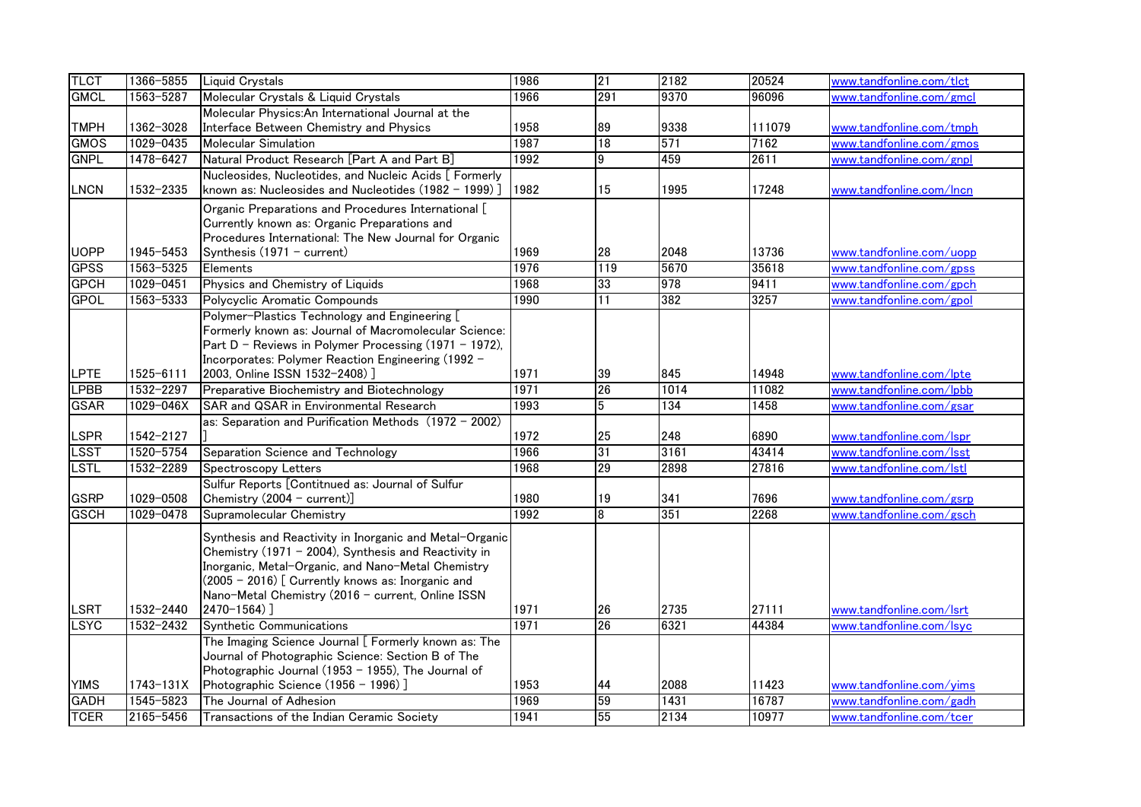| <b>TLCT</b>                | 1366-5855              | Liquid Crystals                                                                                        | 1986         | 21              | 2182 | 20524          | www.tandfonline.com/tlct                             |
|----------------------------|------------------------|--------------------------------------------------------------------------------------------------------|--------------|-----------------|------|----------------|------------------------------------------------------|
| <b>GMCL</b>                | 1563-5287              | Molecular Crystals & Liquid Crystals                                                                   | 1966         | 291             | 9370 | 96096          | www.tandfonline.com/gmcl                             |
|                            |                        | Molecular Physics: An International Journal at the                                                     |              |                 |      |                |                                                      |
| <b>TMPH</b>                | 1362-3028              | Interface Between Chemistry and Physics                                                                | 1958         | 89              | 9338 | 111079         | www.tandfonline.com/tmph                             |
| <b>GMOS</b>                | 1029-0435              | <b>Molecular Simulation</b>                                                                            | 1987         | 18              | 571  | 7162           | www.tandfonline.com/gmos                             |
| <b>GNPL</b>                | 1478-6427              | Natural Product Research [Part A and Part B]                                                           | 1992         | $\overline{9}$  | 459  | 2611           | www.tandfonline.com/gnpl                             |
|                            |                        | Nucleosides, Nucleotides, and Nucleic Acids [ Formerly                                                 |              |                 |      |                |                                                      |
| <b>LNCN</b>                | 1532-2335              | known as: Nucleosides and Nucleotides (1982 - 1999) ]                                                  | 1982         | 15              | 1995 | 17248          | www.tandfonline.com/Incn                             |
|                            |                        | Organic Preparations and Procedures International [                                                    |              |                 |      |                |                                                      |
|                            |                        | Currently known as: Organic Preparations and                                                           |              |                 |      |                |                                                      |
|                            |                        | Procedures International: The New Journal for Organic                                                  |              |                 | 2048 |                |                                                      |
| <b>UOPP</b><br><b>GPSS</b> | 1945-5453<br>1563-5325 | Synthesis (1971 - current)                                                                             | 1969<br>1976 | 28<br>119       | 5670 | 13736<br>35618 | www.tandfonline.com/uopp<br>www.tandfonline.com/gpss |
|                            |                        | Elements                                                                                               | 1968         |                 | 978  |                |                                                      |
| <b>GPCH</b><br><b>GPOL</b> | 1029-0451<br>1563-5333 | Physics and Chemistry of Liquids                                                                       | 1990         | 33<br>11        | 382  | 9411           | www.tandfonline.com/gpch                             |
|                            |                        | Polycyclic Aromatic Compounds                                                                          |              |                 |      | 3257           | www.tandfonline.com/gpol                             |
|                            |                        | Polymer-Plastics Technology and Engineering [<br>Formerly known as: Journal of Macromolecular Science: |              |                 |      |                |                                                      |
|                            |                        | Part D - Reviews in Polymer Processing (1971 - 1972),                                                  |              |                 |      |                |                                                      |
|                            |                        | Incorporates: Polymer Reaction Engineering (1992 -                                                     |              |                 |      |                |                                                      |
| <b>LPTE</b>                | 1525-6111              | 2003, Online ISSN 1532-2408) ]                                                                         | 1971         | 39              | 845  | 14948          | www.tandfonline.com/lpte                             |
| <b>LPBB</b>                | 1532-2297              | Preparative Biochemistry and Biotechnology                                                             | 1971         | 26              | 1014 | 11082          | www.tandfonline.com/lpbb                             |
| <b>GSAR</b>                | 1029-046X              | SAR and QSAR in Environmental Research                                                                 | 1993         | $5\overline{)}$ | 134  | 1458           | www.tandfonline.com/gsar                             |
|                            |                        | as: Separation and Purification Methods (1972 - 2002)                                                  |              |                 |      |                |                                                      |
| LSPR                       | 1542-2127              |                                                                                                        | 1972         | 25              | 248  | 6890           | www.tandfonline.com/lspr                             |
| <b>LSST</b>                | 1520-5754              | Separation Science and Technology                                                                      | 1966         | 31              | 3161 | 43414          | www.tandfonline.com/lsst                             |
| <b>LSTL</b>                | 1532-2289              | Spectroscopy Letters                                                                                   | 1968         | 29              | 2898 | 27816          | www.tandfonline.com/lstl                             |
|                            |                        | Sulfur Reports [Contitnued as: Journal of Sulfur                                                       |              |                 |      |                |                                                      |
| <b>GSRP</b>                | 1029-0508              | Chemistry (2004 - current)]                                                                            | 1980         | 19              | 341  | 7696           | www.tandfonline.com/gsrp                             |
| <b>GSCH</b>                | 1029-0478              | Supramolecular Chemistry                                                                               | 1992         | 8               | 351  | 2268           | www.tandfonline.com/gsch                             |
|                            |                        | Synthesis and Reactivity in Inorganic and Metal-Organic                                                |              |                 |      |                |                                                      |
|                            |                        | Chemistry (1971 - 2004), Synthesis and Reactivity in                                                   |              |                 |      |                |                                                      |
|                            |                        | Inorganic, Metal-Organic, and Nano-Metal Chemistry                                                     |              |                 |      |                |                                                      |
|                            |                        | (2005 - 2016) [ Currently knows as: Inorganic and                                                      |              |                 |      |                |                                                      |
|                            |                        | Nano-Metal Chemistry (2016 - current, Online ISSN                                                      |              |                 |      |                |                                                      |
| <b>LSRT</b>                | 1532-2440              | 2470-1564) ]                                                                                           | 1971         | 26              | 2735 | 27111          | www.tandfonline.com/lsrt                             |
| <b>LSYC</b>                | $1532 - 2432$          | Synthetic Communications                                                                               | 1971         | 26              | 6321 | 44384          | www.tandfonline.com/lsyc                             |
|                            |                        | The Imaging Science Journal [ Formerly known as: The                                                   |              |                 |      |                |                                                      |
|                            |                        | Journal of Photographic Science: Section B of The                                                      |              |                 |      |                |                                                      |
| <b>YIMS</b>                | 1743-131X              | Photographic Journal (1953 - 1955), The Journal of<br>Photographic Science (1956 - 1996)]              | 1953         | 44              | 2088 | 11423          | www.tandfonline.com/yims                             |
| <b>GADH</b>                | 1545-5823              | The Journal of Adhesion                                                                                | 1969         | 59              | 1431 | 16787          | www.tandfonline.com/gadh                             |
| <b>TCER</b>                | 2165-5456              | Transactions of the Indian Ceramic Society                                                             | 1941         | 55              | 2134 | 10977          | www.tandfonline.com/tcer                             |
|                            |                        |                                                                                                        |              |                 |      |                |                                                      |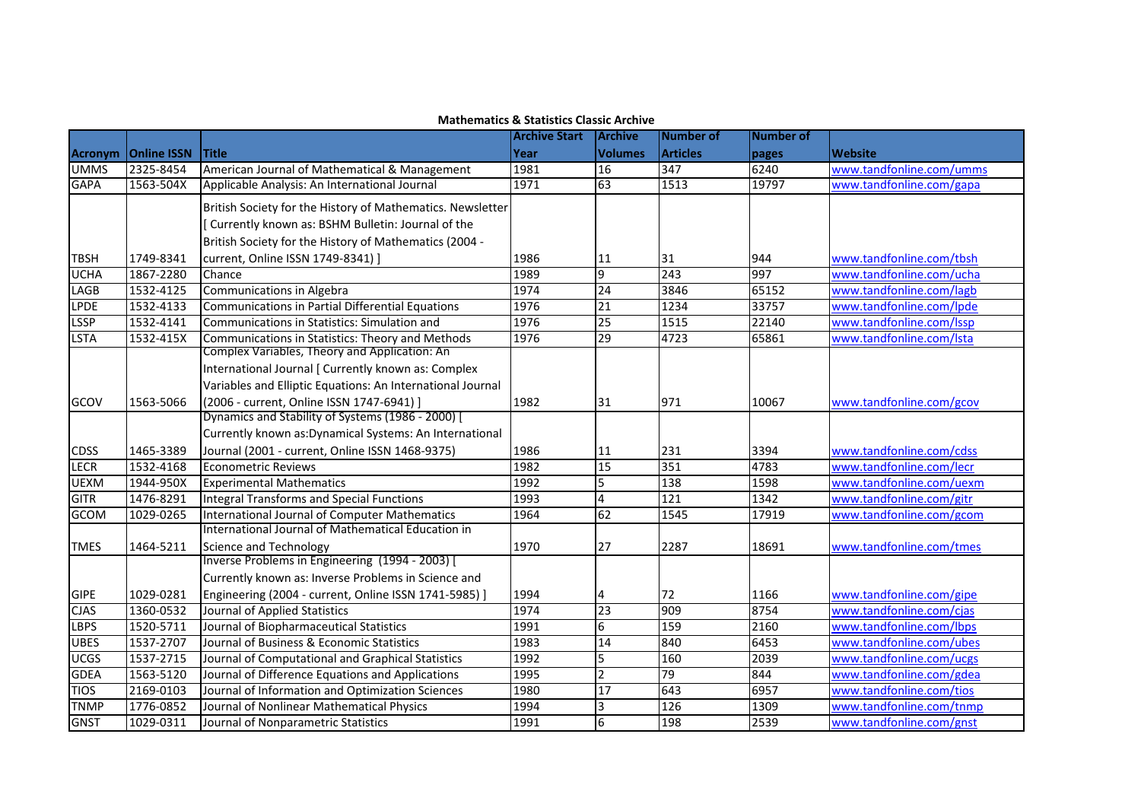|                |                    |                                                            | <b>Archive Start</b> | <b>Archive</b>  | <b>Number of</b> | Number of |                          |
|----------------|--------------------|------------------------------------------------------------|----------------------|-----------------|------------------|-----------|--------------------------|
| <b>Acronym</b> | <b>Online ISSN</b> | <b>Title</b>                                               | Year                 | <b>Volumes</b>  | <b>Articles</b>  | pages     | <b>Website</b>           |
| <b>UMMS</b>    | 2325-8454          | American Journal of Mathematical & Management              | 1981                 | 16              | 347              | 6240      | www.tandfonline.com/umms |
| <b>GAPA</b>    | 1563-504X          | Applicable Analysis: An International Journal              | 1971                 | 63              | 1513             | 19797     | www.tandfonline.com/gapa |
|                |                    | British Society for the History of Mathematics. Newsletter |                      |                 |                  |           |                          |
|                |                    | Currently known as: BSHM Bulletin: Journal of the          |                      |                 |                  |           |                          |
|                |                    | British Society for the History of Mathematics (2004 -     |                      |                 |                  |           |                          |
| <b>TBSH</b>    | 1749-8341          | current, Online ISSN 1749-8341) ]                          | 1986                 | 11              | 31               | 944       | www.tandfonline.com/tbsh |
| <b>UCHA</b>    | 1867-2280          | Chance                                                     | 1989                 | 9               | 243              | 997       | www.tandfonline.com/ucha |
| LAGB           | 1532-4125          | Communications in Algebra                                  | 1974                 | $\overline{24}$ | 3846             | 65152     | www.tandfonline.com/lagb |
| <b>LPDE</b>    | 1532-4133          | <b>Communications in Partial Differential Equations</b>    | 1976                 | 21              | 1234             | 33757     | www.tandfonline.com/lpde |
| <b>LSSP</b>    | 1532-4141          | Communications in Statistics: Simulation and               | 1976                 | 25              | 1515             | 22140     | www.tandfonline.com/Issp |
| <b>LSTA</b>    | 1532-415X          | Communications in Statistics: Theory and Methods           | 1976                 | 29              | 4723             | 65861     | www.tandfonline.com/lsta |
|                |                    | Complex Variables, Theory and Application: An              |                      |                 |                  |           |                          |
|                |                    | International Journal [ Currently known as: Complex        |                      |                 |                  |           |                          |
|                |                    | Variables and Elliptic Equations: An International Journal |                      |                 |                  |           |                          |
| GCOV           | 1563-5066          | (2006 - current, Online ISSN 1747-6941) ]                  | 1982                 | 31              | 971              | 10067     | www.tandfonline.com/gcov |
|                |                    | Dynamics and Stability of Systems (1986 - 2000) [          |                      |                 |                  |           |                          |
|                |                    | Currently known as: Dynamical Systems: An International    |                      |                 |                  |           |                          |
| <b>CDSS</b>    | 1465-3389          | Journal (2001 - current, Online ISSN 1468-9375)            | 1986                 | 11              | 231              | 3394      | www.tandfonline.com/cdss |
| <b>LECR</b>    | 1532-4168          | <b>Econometric Reviews</b>                                 | 1982                 | 15              | 351              | 4783      | www.tandfonline.com/lecr |
| <b>UEXM</b>    | 1944-950X          | <b>Experimental Mathematics</b>                            | 1992                 | 5               | 138              | 1598      | www.tandfonline.com/uexm |
| <b>GITR</b>    | 1476-8291          | <b>Integral Transforms and Special Functions</b>           | 1993                 | $\overline{4}$  | 121              | 1342      | www.tandfonline.com/gitr |
| GCOM           | 1029-0265          | International Journal of Computer Mathematics              | 1964                 | 62              | 1545             | 17919     | www.tandfonline.com/gcom |
|                |                    | International Journal of Mathematical Education in         |                      |                 |                  |           |                          |
| <b>TMES</b>    | 1464-5211          | <b>Science and Technology</b>                              | 1970                 | 27              | 2287             | 18691     | www.tandfonline.com/tmes |
|                |                    | Inverse Problems in Engineering (1994 - 2003) [            |                      |                 |                  |           |                          |
|                |                    | Currently known as: Inverse Problems in Science and        |                      |                 |                  |           |                          |
| <b>GIPE</b>    | 1029-0281          | Engineering (2004 - current, Online ISSN 1741-5985) ]      | 1994                 |                 | 72               | 1166      | www.tandfonline.com/gipe |
| <b>CJAS</b>    | 1360-0532          | Journal of Applied Statistics                              | 1974                 | 23              | 909              | 8754      | www.tandfonline.com/cjas |
| <b>LBPS</b>    | 1520-5711          | Journal of Biopharmaceutical Statistics                    | 1991                 | 6               | 159              | 2160      | www.tandfonline.com/lbps |
| <b>UBES</b>    | 1537-2707          | Journal of Business & Economic Statistics                  | 1983                 | 14              | 840              | 6453      | www.tandfonline.com/ubes |
| <b>UCGS</b>    | 1537-2715          | Journal of Computational and Graphical Statistics          | 1992                 | 5               | 160              | 2039      | www.tandfonline.com/ucgs |
| <b>GDEA</b>    | 1563-5120          | Journal of Difference Equations and Applications           | 1995                 | $\overline{2}$  | $\overline{79}$  | 844       | www.tandfonline.com/gdea |
| <b>TIOS</b>    | 2169-0103          | Journal of Information and Optimization Sciences           | 1980                 | 17              | 643              | 6957      | www.tandfonline.com/tios |
| <b>TNMP</b>    | 1776-0852          | Journal of Nonlinear Mathematical Physics                  | 1994                 | $\overline{3}$  | 126              | 1309      | www.tandfonline.com/tnmp |
| <b>GNST</b>    | 1029-0311          | Journal of Nonparametric Statistics                        | 1991                 | 6               | 198              | 2539      | www.tandfonline.com/gnst |

## **Mathematics & Statistics Classic Archive**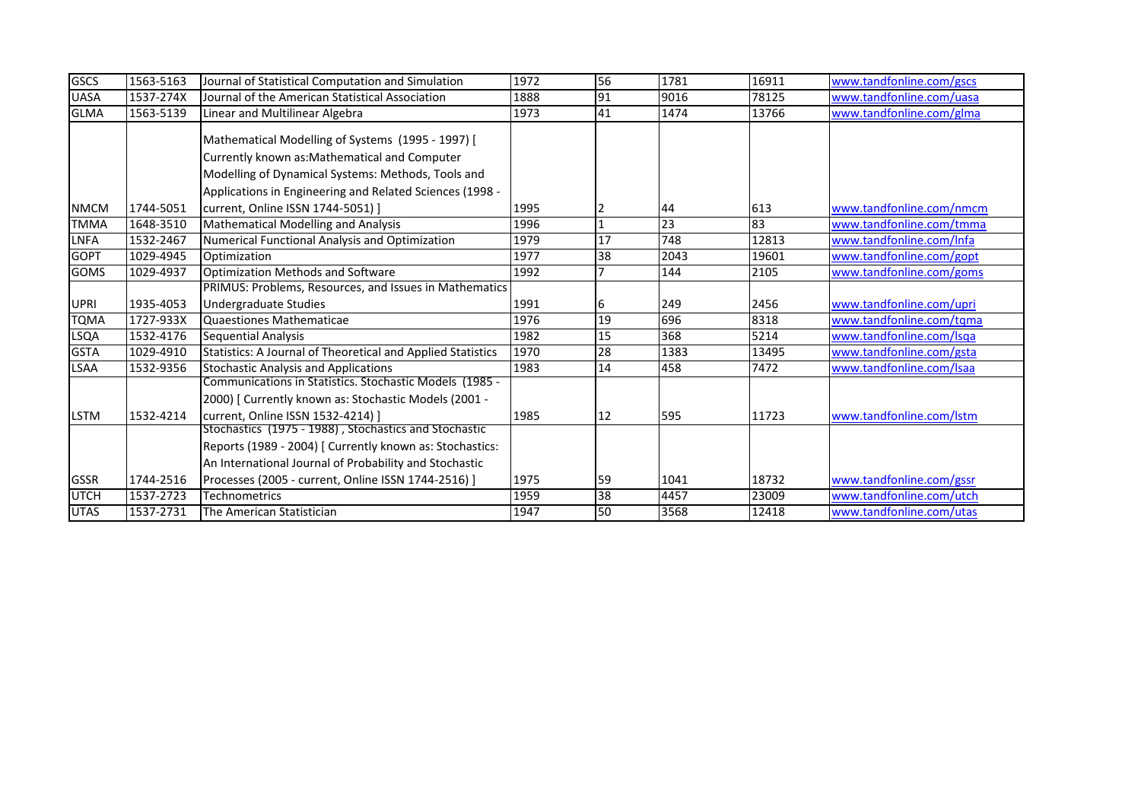| <b>GSCS</b> | 1563-5163 | Journal of Statistical Computation and Simulation                                                                                                                                                                    | 1972 | 56              | 1781 | 16911 | www.tandfonline.com/gscs |
|-------------|-----------|----------------------------------------------------------------------------------------------------------------------------------------------------------------------------------------------------------------------|------|-----------------|------|-------|--------------------------|
| <b>UASA</b> | 1537-274X | Journal of the American Statistical Association                                                                                                                                                                      | 1888 | 91              | 9016 | 78125 | www.tandfonline.com/uasa |
| <b>GLMA</b> | 1563-5139 | Linear and Multilinear Algebra                                                                                                                                                                                       | 1973 | 41              | 1474 | 13766 | www.tandfonline.com/glma |
|             |           | Mathematical Modelling of Systems (1995 - 1997) [<br>Currently known as: Mathematical and Computer<br>Modelling of Dynamical Systems: Methods, Tools and<br>Applications in Engineering and Related Sciences (1998 - |      |                 |      |       |                          |
| <b>NMCM</b> | 1744-5051 | current, Online ISSN 1744-5051) ]                                                                                                                                                                                    | 1995 |                 | 44   | 613   | www.tandfonline.com/nmcm |
| <b>TMMA</b> | 1648-3510 | <b>Mathematical Modelling and Analysis</b>                                                                                                                                                                           | 1996 |                 | 23   | 83    | www.tandfonline.com/tmma |
| <b>LNFA</b> | 1532-2467 | Numerical Functional Analysis and Optimization                                                                                                                                                                       | 1979 | 17              | 748  | 12813 | www.tandfonline.com/Infa |
| <b>GOPT</b> | 1029-4945 | Optimization                                                                                                                                                                                                         | 1977 | 38              | 2043 | 19601 | www.tandfonline.com/gopt |
| <b>GOMS</b> | 1029-4937 | Optimization Methods and Software                                                                                                                                                                                    | 1992 |                 | 144  | 2105  | www.tandfonline.com/goms |
|             |           | PRIMUS: Problems, Resources, and Issues in Mathematics                                                                                                                                                               |      |                 |      |       |                          |
| <b>UPRI</b> | 1935-4053 | Undergraduate Studies                                                                                                                                                                                                | 1991 | 6               | 249  | 2456  | www.tandfonline.com/upri |
| <b>TQMA</b> | 1727-933X | Quaestiones Mathematicae                                                                                                                                                                                             | 1976 | 19              | 696  | 8318  | www.tandfonline.com/tqma |
| <b>LSQA</b> | 1532-4176 | <b>Sequential Analysis</b>                                                                                                                                                                                           | 1982 | 15              | 368  | 5214  | www.tandfonline.com/lsqa |
| <b>GSTA</b> | 1029-4910 | Statistics: A Journal of Theoretical and Applied Statistics                                                                                                                                                          | 1970 | $\overline{28}$ | 1383 | 13495 | www.tandfonline.com/gsta |
| LSAA        | 1532-9356 | <b>Stochastic Analysis and Applications</b>                                                                                                                                                                          | 1983 | 14              | 458  | 7472  | www.tandfonline.com/Isaa |
| <b>LSTM</b> | 1532-4214 | Communications in Statistics. Stochastic Models (1985 -<br>2000) [ Currently known as: Stochastic Models (2001 -<br>current, Online ISSN 1532-4214) ]                                                                | 1985 | 12              | 595  | 11723 | www.tandfonline.com/lstm |
|             |           | Stochastics (1975 - 1988), Stochastics and Stochastic<br>Reports (1989 - 2004) [ Currently known as: Stochastics:<br>An International Journal of Probability and Stochastic                                          |      |                 |      |       |                          |
| <b>GSSR</b> | 1744-2516 | Processes (2005 - current, Online ISSN 1744-2516) ]                                                                                                                                                                  | 1975 | 59              | 1041 | 18732 | www.tandfonline.com/gssr |
| <b>UTCH</b> | 1537-2723 | <b>Technometrics</b>                                                                                                                                                                                                 | 1959 | 38              | 4457 | 23009 | www.tandfonline.com/utch |
| <b>UTAS</b> | 1537-2731 | The American Statistician                                                                                                                                                                                            | 1947 | 50              | 3568 | 12418 | www.tandfonline.com/utas |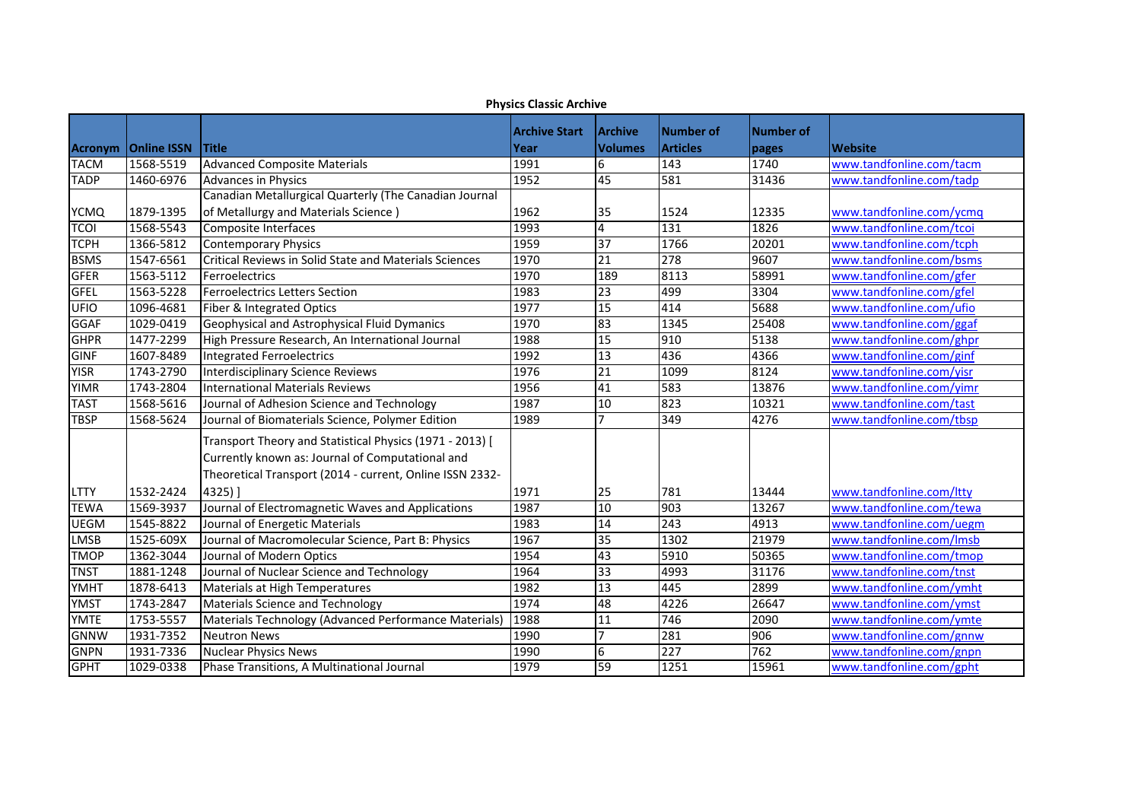|                | טאווט וא אנכטוס כטוני ו |                                                          |                      |                        |                  |           |                          |  |
|----------------|-------------------------|----------------------------------------------------------|----------------------|------------------------|------------------|-----------|--------------------------|--|
|                |                         |                                                          | <b>Archive Start</b> | <b>Archive</b>         | <b>Number of</b> | Number of |                          |  |
| <b>Acronym</b> | <b>Online ISSN</b>      | <b>Title</b>                                             | Year                 | <b>Volumes</b>         | <b>Articles</b>  | pages     | <b>Website</b>           |  |
| <b>TACM</b>    | 1568-5519               | <b>Advanced Composite Materials</b>                      | 1991                 | 6                      | 143              | 1740      | www.tandfonline.com/tacm |  |
| <b>TADP</b>    | 1460-6976               | Advances in Physics                                      | 1952                 | 45                     | 581              | 31436     | www.tandfonline.com/tadp |  |
|                |                         | Canadian Metallurgical Quarterly (The Canadian Journal   |                      |                        |                  |           |                          |  |
| <b>YCMQ</b>    | 1879-1395               | of Metallurgy and Materials Science)                     | 1962                 | 35                     | 1524             | 12335     | www.tandfonline.com/ycmq |  |
| <b>TCOI</b>    | 1568-5543               | Composite Interfaces                                     | 1993                 | 4                      | 131              | 1826      | www.tandfonline.com/tcoi |  |
| <b>TCPH</b>    | 1366-5812               | <b>Contemporary Physics</b>                              | 1959                 | 37                     | 1766             | 20201     | www.tandfonline.com/tcph |  |
| <b>BSMS</b>    | 1547-6561               | Critical Reviews in Solid State and Materials Sciences   | 1970                 | 21                     | 278              | 9607      | www.tandfonline.com/bsms |  |
| <b>GFER</b>    | 1563-5112               | Ferroelectrics                                           | 1970                 | 189                    | 8113             | 58991     | www.tandfonline.com/gfer |  |
| <b>GFEL</b>    | 1563-5228               | <b>Ferroelectrics Letters Section</b>                    | 1983                 | $\overline{23}$        | 499              | 3304      | www.tandfonline.com/gfel |  |
| UFIO           | 1096-4681               | Fiber & Integrated Optics                                | 1977                 | 15                     | 414              | 5688      | www.tandfonline.com/ufio |  |
| <b>GGAF</b>    | 1029-0419               | Geophysical and Astrophysical Fluid Dymanics             | 1970                 | $\overline{\text{83}}$ | 1345             | 25408     | www.tandfonline.com/ggaf |  |
| <b>GHPR</b>    | 1477-2299               | High Pressure Research, An International Journal         | 1988                 | 15                     | 910              | 5138      | www.tandfonline.com/ghpr |  |
| <b>GINF</b>    | 1607-8489               | <b>Integrated Ferroelectrics</b>                         | 1992                 | 13                     | 436              | 4366      | www.tandfonline.com/ginf |  |
| <b>YISR</b>    | 1743-2790               | <b>Interdisciplinary Science Reviews</b>                 | 1976                 | 21                     | 1099             | 8124      | www.tandfonline.com/yisr |  |
| <b>YIMR</b>    | 1743-2804               | International Materials Reviews                          | 1956                 | 41                     | 583              | 13876     | www.tandfonline.com/yimr |  |
| <b>TAST</b>    | 1568-5616               | Journal of Adhesion Science and Technology               | 1987                 | 10                     | 823              | 10321     | www.tandfonline.com/tast |  |
| <b>TBSP</b>    | 1568-5624               | Journal of Biomaterials Science, Polymer Edition         | 1989                 |                        | 349              | 4276      | www.tandfonline.com/tbsp |  |
|                |                         | Transport Theory and Statistical Physics (1971 - 2013) [ |                      |                        |                  |           |                          |  |
|                |                         | Currently known as: Journal of Computational and         |                      |                        |                  |           |                          |  |
|                |                         | Theoretical Transport (2014 - current, Online ISSN 2332- |                      |                        |                  |           |                          |  |
| <b>LTTY</b>    | 1532-2424               | 4325) ]                                                  | 1971                 | 25                     | 781              | 13444     | www.tandfonline.com/ltty |  |
| <b>TEWA</b>    | 1569-3937               | Journal of Electromagnetic Waves and Applications        | 1987                 | 10                     | 903              | 13267     | www.tandfonline.com/tewa |  |
| <b>UEGM</b>    | 1545-8822               | Journal of Energetic Materials                           | 1983                 | 14                     | $\overline{243}$ | 4913      | www.tandfonline.com/uegm |  |
| <b>LMSB</b>    | 1525-609X               | Journal of Macromolecular Science, Part B: Physics       | 1967                 | 35                     | 1302             | 21979     | www.tandfonline.com/lmsb |  |
| <b>TMOP</b>    | 1362-3044               | Journal of Modern Optics                                 | 1954                 | 43                     | 5910             | 50365     | www.tandfonline.com/tmop |  |
| <b>TNST</b>    | 1881-1248               | Journal of Nuclear Science and Technology                | 1964                 | 33                     | 4993             | 31176     | www.tandfonline.com/tnst |  |
| <b>YMHT</b>    | 1878-6413               | Materials at High Temperatures                           | 1982                 | 13                     | 445              | 2899      | www.tandfonline.com/ymht |  |
| <b>YMST</b>    | 1743-2847               | <b>Materials Science and Technology</b>                  | 1974                 | 48                     | 4226             | 26647     | www.tandfonline.com/ymst |  |
| <b>YMTE</b>    | 1753-5557               | Materials Technology (Advanced Performance Materials)    | 1988                 | 11                     | 746              | 2090      | www.tandfonline.com/ymte |  |
| <b>GNNW</b>    | 1931-7352               | <b>Neutron News</b>                                      | 1990                 | $\overline{7}$         | 281              | 906       | www.tandfonline.com/gnnw |  |
| <b>GNPN</b>    | 1931-7336               | <b>Nuclear Physics News</b>                              | 1990                 | 6                      | 227              | 762       | www.tandfonline.com/gnpn |  |
| <b>GPHT</b>    | 1029-0338               | Phase Transitions, A Multinational Journal               | 1979                 | 59                     | 1251             | 15961     | www.tandfonline.com/gpht |  |

**Physics Classic Archive**